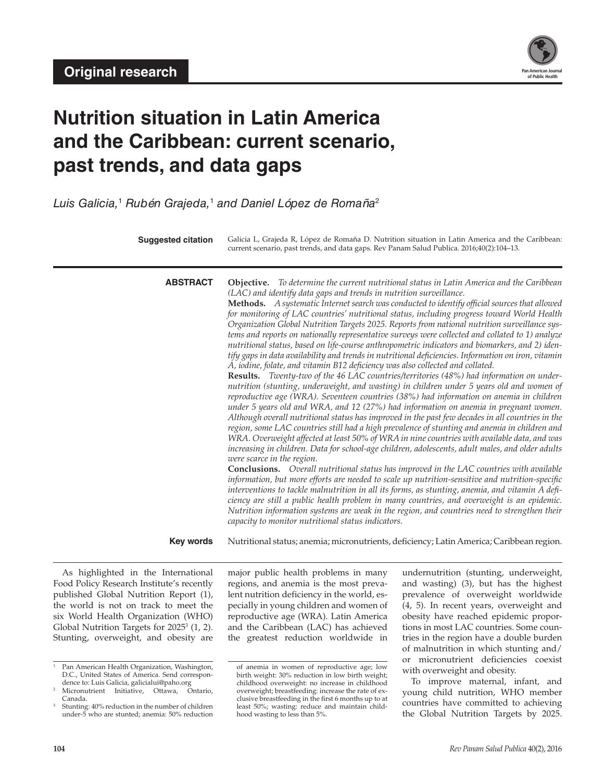

# **Nutrition situation in Latin America and the Caribbean: current scenario, past trends, and data gaps**

*Luis Galicia,*<sup>1</sup>  *Rubén Grajeda,*<sup>1</sup>  *and Daniel López de Romaña*<sup>2</sup>

**Suggested citation** Galicia L, Grajeda R, López de Romaña D. Nutrition situation in Latin America and the Caribbean: current scenario, past trends, and data gaps. Rev Panam Salud Publica. 2016;40(2):104–13.

**ABSTRACT Objective.** *To determine the current nutritional status in Latin America and the Caribbean (LAC) and identify data gaps and trends in nutrition surveillance.*

**Methods.** *A systematic Internet search was conducted to identify official sources that allowed for monitoring of LAC countries' nutritional status, including progress toward World Health Organization Global Nutrition Targets 2025. Reports from national nutrition surveillance systems and reports on nationally representative surveys were collected and collated to 1) analyze nutritional status, based on life-course anthropometric indicators and biomarkers, and 2) identify gaps in data availability and trends in nutritional deficiencies. Information on iron, vitamin A, iodine, folate, and vitamin B12 deficiency was also collected and collated.*

**Results.** *Twenty-two of the 46 LAC countries/territories (48%) had information on undernutrition (stunting, underweight, and wasting) in children under 5 years old and women of reproductive age (WRA). Seventeen countries (38%) had information on anemia in children under 5 years old and WRA, and 12 (27%) had information on anemia in pregnant women. Although overall nutritional status has improved in the past few decades in all countries in the region, some LAC countries still had a high prevalence of stunting and anemia in children and WRA. Overweight affected at least 50% of WRA in nine countries with available data, and was increasing in children. Data for school-age children, adolescents, adult males, and older adults were scarce in the region.*

**Conclusions.** *Overall nutritional status has improved in the LAC countries with available information, but more efforts are needed to scale up nutrition-sensitive and nutrition-specific interventions to tackle malnutrition in all its forms, as stunting, anemia, and vitamin A deficiency are still a public health problem in many countries, and overweight is an epidemic. Nutrition information systems are weak in the region, and countries need to strengthen their capacity to monitor nutritional status indicators.*

Key words Nutritional status; anemia; micronutrients, deficiency; Latin America; Caribbean region.

As highlighted in the International Food Policy Research Institute's recently published Global Nutrition Report (1), the world is not on track to meet the six World Health Organization (WHO) Global Nutrition Targets for  $2025^3$   $(1, 2)$ . Stunting, overweight, and obesity are

major public health problems in many regions, and anemia is the most prevalent nutrition deficiency in the world, especially in young children and women of reproductive age (WRA). Latin America and the Caribbean (LAC) has achieved the greatest reduction worldwide in

undernutrition (stunting, underweight, and wasting) (3), but has the highest prevalence of overweight worldwide (4, 5). In recent years, overweight and obesity have reached epidemic proportions in most LAC countries. Some countries in the region have a double burden of malnutrition in which stunting and/ or micronutrient deficiencies coexist with overweight and obesity.

To improve maternal, infant, and young child nutrition, WHO member countries have committed to achieving the Global Nutrition Targets by 2025.

Pan American Health Organization, Washington, D.C., United States of America. Send correspon-

dence to: Luis Galicia, galicialui@paho.org<br>Micronutrient Initiative. Ottawa. Ontario. Micronutrient Initiative, Ottawa, Canada.

<sup>3</sup> Stunting: 40% reduction in the number of children under-5 who are stunted; anemia: 50% reduction

of anemia in women of reproductive age; low birth weight: 30% reduction in low birth weight; childhood overweight: no increase in childhood overweight; breastfeeding: increase the rate of exclusive breastfeeding in the first 6 months up to at least 50%; wasting: reduce and maintain childhood wasting to less than 5%.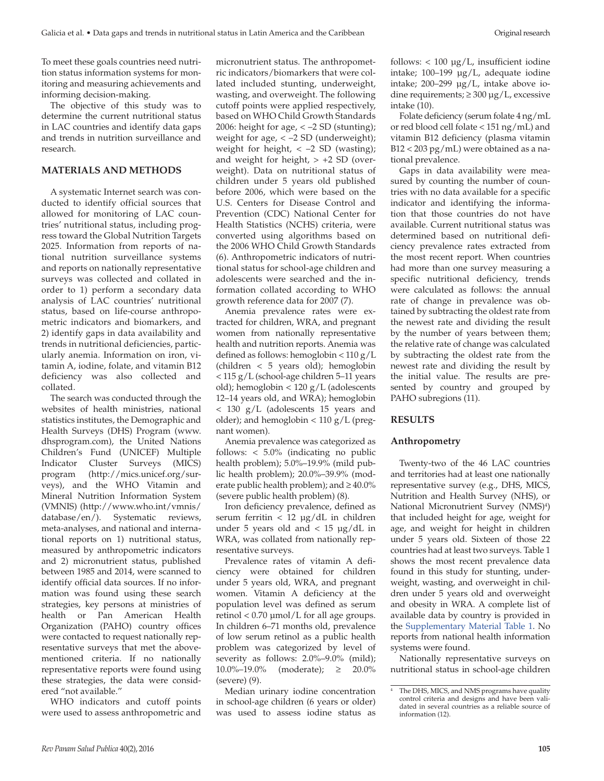To meet these goals countries need nutrition status information systems for monitoring and measuring achievements and informing decision-making.

The objective of this study was to determine the current nutritional status in LAC countries and identify data gaps and trends in nutrition surveillance and research.

## **MATERIALS AND METHODS**

A systematic Internet search was conducted to identify official sources that allowed for monitoring of LAC countries' nutritional status, including progress toward the Global Nutrition Targets 2025. Information from reports of national nutrition surveillance systems and reports on nationally representative surveys was collected and collated in order to 1) perform a secondary data analysis of LAC countries' nutritional status, based on life-course anthropometric indicators and biomarkers, and 2) identify gaps in data availability and trends in nutritional deficiencies, particularly anemia. Information on iron, vitamin A, iodine, folate, and vitamin B12 deficiency was also collected and collated.

The search was conducted through the websites of health ministries, national statistics institutes, the Demographic and Health Surveys (DHS) Program (www. dhsprogram.com), the United Nations Children's Fund (UNICEF) Multiple Indicator Cluster Surveys (MICS) program (http://mics.unicef.org/surveys), and the WHO Vitamin and Mineral Nutrition Information System (VMNIS) (http://www.who.int/vmnis/ database/en/). Systematic reviews, meta-analyses, and national and international reports on 1) nutritional status, measured by anthropometric indicators and 2) micronutrient status, published between 1985 and 2014, were scanned to identify official data sources. If no information was found using these search strategies, key persons at ministries of health or Pan American Health Organization (PAHO) country offices were contacted to request nationally representative surveys that met the abovementioned criteria. If no nationally representative reports were found using these strategies, the data were considered "not available."

WHO indicators and cutoff points were used to assess anthropometric and micronutrient status. The anthropometric indicators/biomarkers that were collated included stunting, underweight, wasting, and overweight. The following cutoff points were applied respectively, based on WHO Child Growth Standards 2006: height for age, < –2 SD (stunting); weight for age, < –2 SD (underweight); weight for height,  $\langle -2 \text{ SD (wasting)} \rangle$ ; and weight for height,  $> +2$  SD (overweight). Data on nutritional status of children under 5 years old published before 2006, which were based on the U.S. Centers for Disease Control and Prevention (CDC) National Center for Health Statistics (NCHS) criteria, were converted using algorithms based on the 2006 WHO Child Growth Standards (6). Anthropometric indicators of nutritional status for school-age children and adolescents were searched and the information collated according to WHO growth reference data for 2007 (7).

Anemia prevalence rates were extracted for children, WRA, and pregnant women from nationally representative health and nutrition reports. Anemia was defined as follows: hemoglobin < 110 g/L (children < 5 years old); hemoglobin < 115 g/L (school-age children 5–11 years old); hemoglobin < 120 g/L (adolescents 12–14 years old, and WRA); hemoglobin < 130 g/L (adolescents 15 years and older); and hemoglobin < 110 g/L (pregnant women).

Anemia prevalence was categorized as follows: < 5.0% (indicating no public health problem); 5.0%–19.9% (mild public health problem); 20.0%–39.9% (moderate public health problem); and  $\geq 40.0\%$ (severe public health problem) (8).

Iron deficiency prevalence, defined as serum ferritin < 12 μg/dL in children under 5 years old and  $< 15 \text{ µg}/dL$  in WRA, was collated from nationally representative surveys.

Prevalence rates of vitamin A deficiency were obtained for children under 5 years old, WRA, and pregnant women. Vitamin A deficiency at the population level was defined as serum retinol < 0.70 μmol/L for all age groups. In children 6–71 months old, prevalence of low serum retinol as a public health problem was categorized by level of severity as follows: 2.0%–9.0% (mild); 10.0%–19.0% (moderate); ≥ 20.0% (severe) (9).

Median urinary iodine concentration in school-age children (6 years or older) was used to assess iodine status as

follows:  $< 100 \mu g/L$ , insufficient iodine intake; 100–199 µg/L, adequate iodine intake; 200–299 µg/L, intake above iodine requirements;  $\geq 300 \mu g/L$ , excessive intake (10).

Folate deficiency (serum folate 4 ng/mL or red blood cell folate < 151 ng/mL) and vitamin B12 deficiency (plasma vitamin B12 < 203 pg/mL) were obtained as a national prevalence.

Gaps in data availability were measured by counting the number of countries with no data available for a specific indicator and identifying the information that those countries do not have available. Current nutritional status was determined based on nutritional deficiency prevalence rates extracted from the most recent report. When countries had more than one survey measuring a specific nutritional deficiency, trends were calculated as follows: the annual rate of change in prevalence was obtained by subtracting the oldest rate from the newest rate and dividing the result by the number of years between them; the relative rate of change was calculated by subtracting the oldest rate from the newest rate and dividing the result by the initial value. The results are presented by country and grouped by PAHO subregions (11).

## **RESULTS**

#### **Anthropometry**

Twenty-two of the 46 LAC countries and territories had at least one nationally representative survey (e.g., DHS, MICS, Nutrition and Health Survey (NHS), or National Micronutrient Survey (NMS)<sup>4</sup>) that included height for age, weight for age, and weight for height in children under 5 years old. Sixteen of those 22 countries had at least two surveys. Table 1 shows the most recent prevalence data found in this study for stunting, underweight, wasting, and overweight in children under 5 years old and overweight and obesity in WRA. A complete list of available data by country is provided in the [Supplementary Material Table 1](http://www.paho.org/journal/index.php?option=com_docman&view=download&alias=976-2016-aug-supplementary-file&category_slug=2016-aug-supplementary-file&Itemid=847). No reports from national health information systems were found.

Nationally representative surveys on nutritional status in school-age children

The DHS, MICS, and NMS programs have quality control criteria and designs and have been validated in several countries as a reliable source of information (12).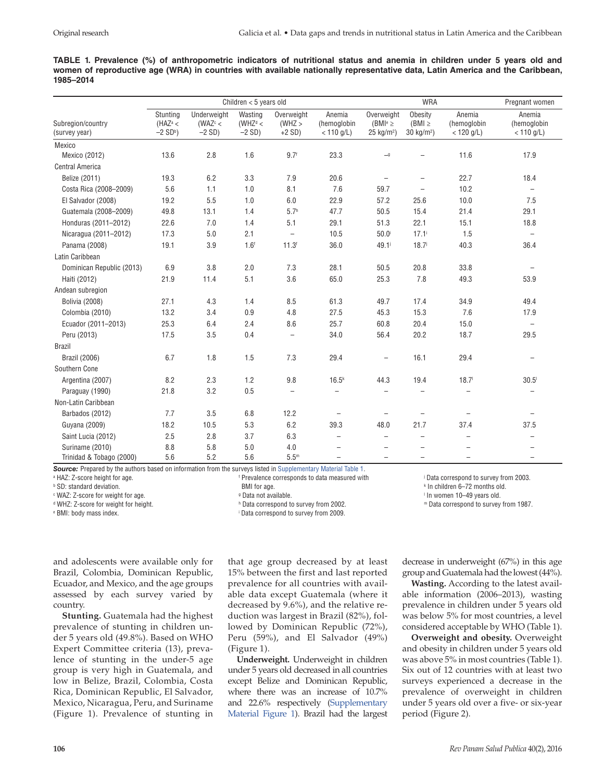|           |  |  |  |  | TABLE 1. Prevalence (%) of anthropometric indicators of nutritional status and anemia in children under 5 years old and      |  |  |  |  |  |
|-----------|--|--|--|--|------------------------------------------------------------------------------------------------------------------------------|--|--|--|--|--|
|           |  |  |  |  | women of reproductive age (WRA) in countries with available nationally representative data, Latin America and the Caribbean, |  |  |  |  |  |
| 1985-2014 |  |  |  |  |                                                                                                                              |  |  |  |  |  |

|                                    |                                                   |                                       | Children $<$ 5 years old                   |                                   |                                       |                                                       | <b>WRA</b>                             |                                       | Pregnant women                        |
|------------------------------------|---------------------------------------------------|---------------------------------------|--------------------------------------------|-----------------------------------|---------------------------------------|-------------------------------------------------------|----------------------------------------|---------------------------------------|---------------------------------------|
| Subregion/country<br>(survey year) | Stunting<br>( $HAZ^a$ <<br>$-2$ SD <sup>b</sup> ) | Underweight<br>(WAZ $c$ <<br>$-2$ SD) | Wasting<br>(WHZ <sup>d</sup> <<br>$-2$ SD) | Overweight<br>(WHZ ><br>$+2$ SD)  | Anemia<br>(hemoglobin<br>$< 110$ g/L) | Overweight<br>( $BMI^e \geq$<br>$25 \text{ kg/m}^2$ ) | Obesity<br>$(BMI \geq$<br>30 $kg/m2$ ) | Anemia<br>(hemoglobin<br>$< 120$ g/L) | Anemia<br>(hemoglobin<br>$< 110$ g/L) |
| Mexico                             |                                                   |                                       |                                            |                                   |                                       |                                                       |                                        |                                       |                                       |
| Mexico (2012)                      | 13.6                                              | 2.8                                   | 1.6                                        | 9.7 <sup>6</sup>                  | 23.3                                  | $\overline{-}9$                                       |                                        | 11.6                                  | 17.9                                  |
| <b>Central America</b>             |                                                   |                                       |                                            |                                   |                                       |                                                       |                                        |                                       |                                       |
| Belize (2011)                      | 19.3                                              | 6.2                                   | 3.3                                        | 7.9                               | 20.6                                  | $\qquad \qquad -$                                     | $\overline{\phantom{m}}$               | 22.7                                  | 18.4                                  |
| Costa Rica (2008-2009)             | 5.6                                               | 1.1                                   | 1.0                                        | 8.1                               | 7.6                                   | 59.7                                                  | $\qquad \qquad -$                      | 10.2                                  | $\overline{\phantom{m}}$              |
| El Salvador (2008)                 | 19.2                                              | 5.5                                   | 1.0                                        | 6.0                               | 22.9                                  | 57.2                                                  | 25.6                                   | 10.0                                  | 7.5                                   |
| Guatemala (2008-2009)              | 49.8                                              | 13.1                                  | 1.4                                        | 5.7 <sup>h</sup>                  | 47.7                                  | 50.5                                                  | 15.4                                   | 21.4                                  | 29.1                                  |
| Honduras (2011-2012)               | 22.6                                              | 7.0                                   | 1.4                                        | 5.1                               | 29.1                                  | 51.3                                                  | 22.1                                   | 15.1                                  | 18.8                                  |
| Nicaragua (2011-2012)              | 17.3                                              | 5.0                                   | 2.1                                        | $\hspace{0.1in} - \hspace{0.1in}$ | 10.5                                  | 50.0                                                  | $17.1^{\circ}$                         | 1.5                                   | $\overline{\phantom{a}}$              |
| Panama (2008)                      | 19.1                                              | 3.9                                   | 1.6 <sup>f</sup>                           | 11.3 <sup>f</sup>                 | 36.0                                  | 49.1                                                  | 18.7 <sup>j</sup>                      | 40.3                                  | 36.4                                  |
| Latin Caribbean                    |                                                   |                                       |                                            |                                   |                                       |                                                       |                                        |                                       |                                       |
| Dominican Republic (2013)          | 6.9                                               | 3.8                                   | 2.0                                        | 7.3                               | 28.1                                  | 50.5                                                  | 20.8                                   | 33.8                                  | $\overline{\phantom{m}}$              |
| Haiti (2012)                       | 21.9                                              | 11.4                                  | 5.1                                        | 3.6                               | 65.0                                  | 25.3                                                  | 7.8                                    | 49.3                                  | 53.9                                  |
| Andean subregion                   |                                                   |                                       |                                            |                                   |                                       |                                                       |                                        |                                       |                                       |
| <b>Bolivia (2008)</b>              | 27.1                                              | 4.3                                   | 1.4                                        | 8.5                               | 61.3                                  | 49.7                                                  | 17.4                                   | 34.9                                  | 49.4                                  |
| Colombia (2010)                    | 13.2                                              | 3.4                                   | 0.9                                        | 4.8                               | 27.5                                  | 45.3                                                  | 15.3                                   | 7.6                                   | 17.9                                  |
| Ecuador (2011-2013)                | 25.3                                              | 6.4                                   | 2.4                                        | 8.6                               | 25.7                                  | 60.8                                                  | 20.4                                   | 15.0                                  | $\overline{\phantom{m}}$              |
| Peru (2013)                        | 17.5                                              | 3.5                                   | 0.4                                        | $\overline{\phantom{0}}$          | 34.0                                  | 56.4                                                  | 20.2                                   | 18.7                                  | 29.5                                  |
| <b>Brazil</b>                      |                                                   |                                       |                                            |                                   |                                       |                                                       |                                        |                                       |                                       |
| <b>Brazil (2006)</b>               | 6.7                                               | 1.8                                   | 1.5                                        | 7.3                               | 29.4                                  | $\overline{\phantom{0}}$                              | 16.1                                   | 29.4                                  |                                       |
| Southern Cone                      |                                                   |                                       |                                            |                                   |                                       |                                                       |                                        |                                       |                                       |
| Argentina (2007)                   | 8.2                                               | 2.3                                   | 1.2                                        | 9.8                               | 16.5 <sup>k</sup>                     | 44.3                                                  | 19.4                                   | 18.7 <sup>1</sup>                     | $30.5^{\circ}$                        |
| Paraguay (1990)                    | 21.8                                              | 3.2                                   | 0.5                                        | $\overline{\phantom{m}}$          | $\qquad \qquad -$                     |                                                       | $\overline{\phantom{m}}$               | $\overline{\phantom{0}}$              |                                       |
| Non-Latin Caribbean                |                                                   |                                       |                                            |                                   |                                       |                                                       |                                        |                                       |                                       |
| Barbados (2012)                    | 7.7                                               | 3.5                                   | 6.8                                        | 12.2                              |                                       |                                                       |                                        |                                       |                                       |
| Guyana (2009)                      | 18.2                                              | 10.5                                  | 5.3                                        | 6.2                               | 39.3                                  | 48.0                                                  | 21.7                                   | 37.4                                  | 37.5                                  |
| Saint Lucia (2012)                 | 2.5                                               | 2.8                                   | 3.7                                        | 6.3                               | $\overline{\phantom{0}}$              | $\equiv$                                              |                                        |                                       |                                       |
| Suriname (2010)                    | 8.8                                               | 5.8                                   | 5.0                                        | 4.0                               |                                       |                                                       |                                        |                                       |                                       |
| Trinidad & Tobago (2000)           | 5.6                                               | 5.2                                   | 5.6                                        | 5.5 <sup>m</sup>                  | $\overline{\phantom{0}}$              |                                                       |                                        |                                       | ÷,                                    |

**Source:** Prepared by the authors based on information from the surveys listed in [Supplementary Material Table 1.](http://www.paho.org/journal/index.php?option=com_docman&view=download&alias=976-2016-aug-supplementary-file&category_slug=2016-aug-supplementary-file&Itemid=847) <sup>f</sup> Prevalence corresponds to data measured with

a HAZ: Z-score height for age.

b SD: standard deviation.

c WAZ: Z-score for weight for age.

d WHZ: Z-score for weight for height.

e BMI: body mass index.

BMI for age.

g Data not available.

h Data correspond to survey from 2002.

i Data correspond to survey from 2009.

and adolescents were available only for Brazil, Colombia, Dominican Republic, Ecuador, and Mexico, and the age groups assessed by each survey varied by country.

**Stunting.** Guatemala had the highest prevalence of stunting in children under 5 years old (49.8%). Based on WHO Expert Committee criteria (13), prevalence of stunting in the under-5 age group is very high in Guatemala, and low in Belize, Brazil, Colombia, Costa Rica, Dominican Republic, El Salvador, Mexico, Nicaragua, Peru, and Suriname (Figure 1). Prevalence of stunting in

that age group decreased by at least 15% between the first and last reported prevalence for all countries with available data except Guatemala (where it decreased by 9.6%), and the relative reduction was largest in Brazil (82%), followed by Dominican Republic (72%), Peru (59%), and El Salvador (49%) (Figure 1).

**Underweight.** Underweight in children under 5 years old decreased in all countries except Belize and Dominican Republic, where there was an increase of 10.7% and 22.6% respectively [\(Supplementary](http://www.paho.org/journal/index.php?option=com_docman&view=download&alias=976-2016-aug-supplementary-file&category_slug=2016-aug-supplementary-file&Itemid=847) [Material Figure 1](http://www.paho.org/journal/index.php?option=com_docman&view=download&alias=976-2016-aug-supplementary-file&category_slug=2016-aug-supplementary-file&Itemid=847)). Brazil had the largest decrease in underweight (67%) in this age group and Guatemala had the lowest (44%).

j Data correspond to survey from 2003. k In children 6–72 months old. l In women 10–49 years old. m Data correspond to survey from 1987.

**Wasting.** According to the latest available information (2006–2013), wasting prevalence in children under 5 years old was below 5% for most countries, a level considered acceptable by WHO (Table 1).

**Overweight and obesity.** Overweight and obesity in children under 5 years old was above 5% in most countries (Table 1). Six out of 12 countries with at least two surveys experienced a decrease in the prevalence of overweight in children under 5 years old over a five- or six-year period (Figure 2).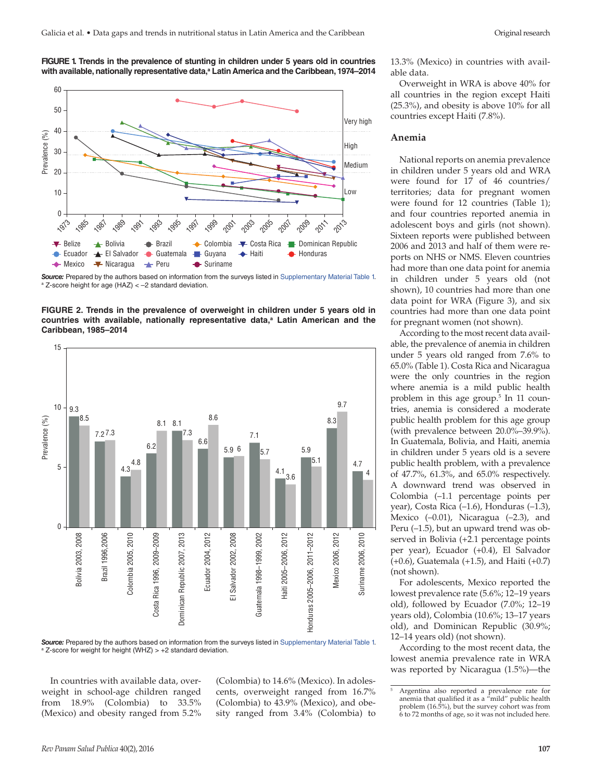



*Source:* Prepared by the authors based on information from the surveys listed in [Supplementary Material Table 1](http://www.paho.org/journal/index.php?option=com_docman&view=download&alias=976-2016-aug-supplementary-file&category_slug=2016-aug-supplementary-file&Itemid=847). a Z-score height for age (HAZ) < –2 standard deviation.





*Source:* Prepared by the authors based on information from the surveys listed in [Supplementary Material Table 1](http://www.paho.org/journal/index.php?option=com_docman&view=download&alias=976-2016-aug-supplementary-file&category_slug=2016-aug-supplementary-file&Itemid=847&lang=en). <sup>a</sup> Z-score for weight for height (WHZ) > +2 standard deviation.

In countries with available data, overweight in school-age children ranged from 18.9% (Colombia) to 33.5% (Mexico) and obesity ranged from 5.2%

(Colombia) to 14.6% (Mexico). In adolescents, overweight ranged from 16.7% (Colombia) to 43.9% (Mexico), and obesity ranged from 3.4% (Colombia) to 13.3% (Mexico) in countries with available data.

Overweight in WRA is above 40% for all countries in the region except Haiti  $(25.3\%)$ , and obesity is above  $10\%$  for all countries except Haiti (7.8%).

#### **Anemia**

National reports on anemia prevalence in children under 5 years old and WRA were found for 17 of 46 countries/ territories; data for pregnant women were found for 12 countries (Table 1); and four countries reported anemia in adolescent boys and girls (not shown). Sixteen reports were published between 2006 and 2013 and half of them were reports on NHS or NMS. Eleven countries had more than one data point for anemia in children under 5 years old (not shown), 10 countries had more than one data point for WRA (Figure 3), and six countries had more than one data point for pregnant women (not shown).

According to the most recent data available, the prevalence of anemia in children under 5 years old ranged from 7.6% to 65.0% (Table 1). Costa Rica and Nicaragua were the only countries in the region where anemia is a mild public health problem in this age group.5 In 11 countries, anemia is considered a moderate public health problem for this age group (with prevalence between 20.0%–39.9%). In Guatemala, Bolivia, and Haiti, anemia in children under 5 years old is a severe public health problem, with a prevalence of 47.7%, 61.3%, and 65.0% respectively. A downward trend was observed in Colombia (–1.1 percentage points per year), Costa Rica (–1.6), Honduras (–1.3), Mexico (–0.01), Nicaragua (–2.3), and Peru (–1.5), but an upward trend was observed in Bolivia (+2.1 percentage points per year), Ecuador (+0.4), El Salvador (+0.6), Guatemala (+1.5), and Haiti (+0.7) (not shown).

For adolescents, Mexico reported the lowest prevalence rate (5.6%; 12–19 years old), followed by Ecuador (7.0%; 12–19 years old), Colombia (10.6%; 13–17 years old), and Dominican Republic (30.9%; 12–14 years old) (not shown).

According to the most recent data, the lowest anemia prevalence rate in WRA was reported by Nicaragua (1.5%)—the

<sup>5</sup> Argentina also reported a prevalence rate for anemia that qualified it as a "mild" public health problem (16.5%), but the survey cohort was from 6 to 72 months of age, so it was not included here.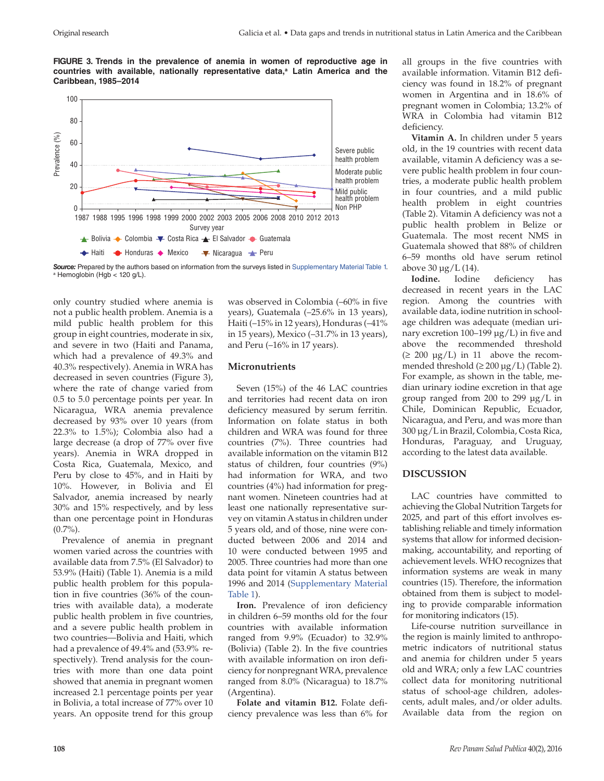**FIGURE 3. Trends in the prevalence of anemia in women of reproductive age in**  countries with available, nationally representative data,<sup>a</sup> Latin America and the **Caribbean, 1985–2014**



*Source:* Prepared by the authors based on information from the surveys listed in [Supplementary Material Table 1](http://www.paho.org/journal/index.php?option=com_docman&view=download&alias=976-2016-aug-supplementary-file&category_slug=2016-aug-supplementary-file&Itemid=847). a Hemoglobin (Hgb < 120 g/L).

only country studied where anemia is not a public health problem. Anemia is a mild public health problem for this group in eight countries, moderate in six, and severe in two (Haiti and Panama, which had a prevalence of 49.3% and 40.3% respectively). Anemia in WRA has decreased in seven countries (Figure 3), where the rate of change varied from 0.5 to 5.0 percentage points per year. In Nicaragua, WRA anemia prevalence decreased by 93% over 10 years (from 22.3% to 1.5%); Colombia also had a large decrease (a drop of 77% over five years). Anemia in WRA dropped in Costa Rica, Guatemala, Mexico, and Peru by close to 45%, and in Haiti by 10%. However, in Bolivia and El Salvador, anemia increased by nearly 30% and 15% respectively, and by less than one percentage point in Honduras  $(0.7\%)$ .

Prevalence of anemia in pregnant women varied across the countries with available data from 7.5% (El Salvador) to 53.9% (Haiti) (Table 1). Anemia is a mild public health problem for this population in five countries (36% of the countries with available data), a moderate public health problem in five countries, and a severe public health problem in two countries—Bolivia and Haiti, which had a prevalence of 49.4% and (53.9% respectively). Trend analysis for the countries with more than one data point showed that anemia in pregnant women increased 2.1 percentage points per year in Bolivia, a total increase of 77% over 10 years. An opposite trend for this group

was observed in Colombia (–60% in five years), Guatemala (–25.6% in 13 years), Haiti (–15% in 12 years), Honduras (–41% in 15 years), Mexico (–31.7% in 13 years), and Peru (–16% in 17 years).

#### **Micronutrients**

Seven (15%) of the 46 LAC countries and territories had recent data on iron deficiency measured by serum ferritin. Information on folate status in both children and WRA was found for three countries (7%). Three countries had available information on the vitamin B12 status of children, four countries (9%) had information for WRA, and two countries (4%) had information for pregnant women. Nineteen countries had at least one nationally representative survey on vitamin A status in children under 5 years old, and of those, nine were conducted between 2006 and 2014 and 10 were conducted between 1995 and 2005. Three countries had more than one data point for vitamin A status between 1996 and 2014 ([Supplementary Material](http://www.paho.org/journal/index.php?option=com_docman&view=download&alias=976-2016-aug-supplementary-file&category_slug=2016-aug-supplementary-file&Itemid=847)  [Table 1\)](http://www.paho.org/journal/index.php?option=com_docman&view=download&alias=976-2016-aug-supplementary-file&category_slug=2016-aug-supplementary-file&Itemid=847).

**Iron.** Prevalence of iron deficiency in children 6–59 months old for the four countries with available information ranged from 9.9% (Ecuador) to 32.9% (Bolivia) (Table 2). In the five countries with available information on iron deficiency for nonpregnant WRA, prevalence ranged from 8.0% (Nicaragua) to 18.7% (Argentina).

**Folate and vitamin B12.** Folate deficiency prevalence was less than 6% for all groups in the five countries with available information. Vitamin B12 deficiency was found in 18.2% of pregnant women in Argentina and in 18.6% of pregnant women in Colombia; 13.2% of WRA in Colombia had vitamin B12 deficiency.

**Vitamin A.** In children under 5 years old, in the 19 countries with recent data available, vitamin A deficiency was a severe public health problem in four countries, a moderate public health problem in four countries, and a mild public health problem in eight countries (Table 2). Vitamin A deficiency was not a public health problem in Belize or Guatemala. The most recent NMS in Guatemala showed that 88% of children 6–59 months old have serum retinol above 30 μg/L (14).

**Iodine.** Iodine deficiency has decreased in recent years in the LAC region. Among the countries with available data, iodine nutrition in schoolage children was adequate (median urinary excretion 100–199 μg/L) in five and above the recommended threshold  $( \geq 200 \text{ µg/L} )$  in 11 above the recommended threshold  $(\geq 200 \mu g/L)$  (Table 2). For example, as shown in the table, median urinary iodine excretion in that age group ranged from 200 to 299 μg/L in Chile, Dominican Republic, Ecuador, Nicaragua, and Peru, and was more than 300 μg/L in Brazil, Colombia, Costa Rica, Honduras, Paraguay, and Uruguay, according to the latest data available.

## **DISCUSSION**

LAC countries have committed to achieving the Global Nutrition Targets for 2025, and part of this effort involves establishing reliable and timely information systems that allow for informed decisionmaking, accountability, and reporting of achievement levels. WHO recognizes that information systems are weak in many countries (15). Therefore, the information obtained from them is subject to modeling to provide comparable information for monitoring indicators (15).

Life-course nutrition surveillance in the region is mainly limited to anthropometric indicators of nutritional status and anemia for children under 5 years old and WRA; only a few LAC countries collect data for monitoring nutritional status of school-age children, adolescents, adult males, and/or older adults. Available data from the region on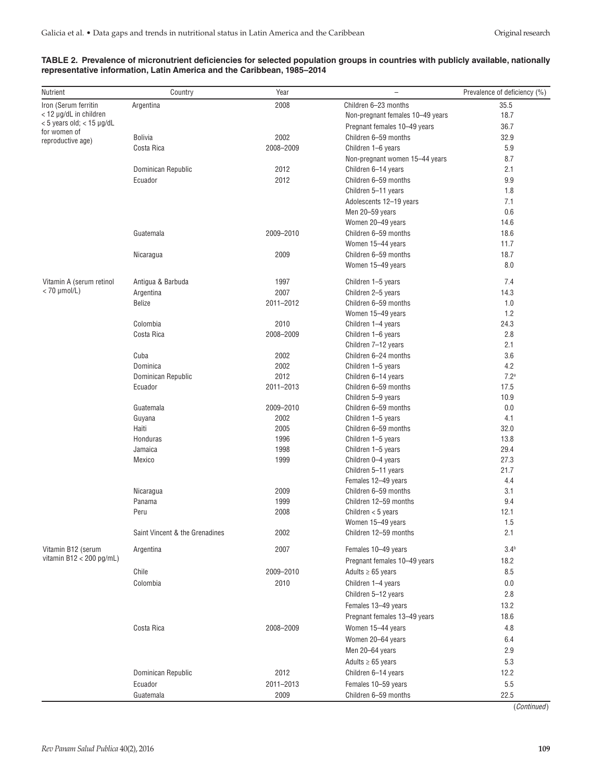### **TABLE 2. Prevalence of micronutrient deficiencies for selected population groups in countries with publicly available, nationally representative information, Latin America and the Caribbean, 1985–2014**

| Nutrient                                           | Country                        | Year         | $\overline{\phantom{0}}$                    | Prevalence of deficiency (%) |
|----------------------------------------------------|--------------------------------|--------------|---------------------------------------------|------------------------------|
| Iron (Serum ferritin                               | Argentina                      | 2008         | Children 6-23 months                        | 35.5                         |
| < 12 µg/dL in children                             |                                |              | Non-pregnant females 10-49 years            | 18.7                         |
| $<$ 5 years old; $<$ 15 $\mu$ g/dL<br>for women of |                                |              | Pregnant females 10-49 years                | 36.7                         |
| reproductive age)                                  | <b>Bolivia</b>                 | 2002         | Children 6-59 months                        | 32.9                         |
|                                                    | Costa Rica                     | 2008-2009    | Children 1-6 years                          | 5.9                          |
|                                                    |                                |              | Non-pregnant women 15-44 years              | 8.7                          |
|                                                    | Dominican Republic             | 2012         | Children 6-14 years                         | 2.1                          |
|                                                    | Ecuador                        | 2012         | Children 6-59 months                        | 9.9                          |
|                                                    |                                |              | Children 5-11 years                         | 1.8                          |
|                                                    |                                |              | Adolescents 12-19 years                     | 7.1                          |
|                                                    |                                |              | Men 20-59 years                             | 0.6                          |
|                                                    |                                |              | Women 20-49 years                           | 14.6                         |
|                                                    | Guatemala                      | 2009-2010    | Children 6-59 months                        | 18.6                         |
|                                                    |                                |              | Women 15-44 years                           | 11.7                         |
|                                                    | Nicaragua                      | 2009         | Children 6-59 months                        | 18.7                         |
|                                                    |                                |              | Women 15-49 years                           | 8.0                          |
| Vitamin A (serum retinol                           | Antigua & Barbuda              | 1997         | Children 1-5 years                          | 7.4                          |
| $<$ 70 $\mu$ mol/L)                                | Argentina                      | 2007         | Children 2-5 years                          | 14.3                         |
|                                                    | Belize                         | 2011-2012    | Children 6-59 months                        | 1.0                          |
|                                                    |                                |              | Women 15-49 years                           | 1.2                          |
|                                                    | Colombia                       | 2010         | Children 1-4 years                          | 24.3                         |
|                                                    | Costa Rica                     | 2008-2009    | Children 1-6 years                          | 2.8                          |
|                                                    |                                |              | Children 7-12 years                         | 2.1                          |
|                                                    | Cuba                           | 2002         | Children 6-24 months                        | 3.6                          |
|                                                    | Dominica                       | 2002         | Children 1-5 years                          | 4.2                          |
|                                                    | Dominican Republic             | 2012         | Children 6-14 years                         | 7.2 <sup>a</sup>             |
|                                                    | Ecuador                        | 2011-2013    | Children 6-59 months                        | 17.5                         |
|                                                    |                                |              | Children 5-9 years                          | 10.9                         |
|                                                    | Guatemala                      | 2009-2010    | Children 6-59 months                        | 0.0                          |
|                                                    | Guyana                         | 2002         | Children 1-5 years                          | 4.1                          |
|                                                    | Haiti                          | 2005         | Children 6-59 months                        | 32.0                         |
|                                                    | Honduras                       | 1996         | Children 1-5 years                          | 13.8                         |
|                                                    | Jamaica                        | 1998         | Children 1-5 years                          | 29.4                         |
|                                                    | Mexico                         | 1999         | Children 0-4 years                          | 27.3                         |
|                                                    |                                |              | Children 5-11 years                         | 21.7                         |
|                                                    |                                |              | Females 12-49 years<br>Children 6-59 months | 4.4                          |
|                                                    | Nicaragua<br>Panama            | 2009<br>1999 | Children 12-59 months                       | 3.1<br>9.4                   |
|                                                    | Peru                           | 2008         | Children $<$ 5 years                        | 12.1                         |
|                                                    |                                |              | Women 15-49 years                           | 1.5                          |
|                                                    | Saint Vincent & the Grenadines | 2002         | Children 12-59 months                       | 2.1                          |
| Vitamin B12 (serum                                 | Argentina                      | 2007         | Females 10-49 years                         | 3.4 <sup>b</sup>             |
| vitamin $B12 < 200$ pg/mL)                         |                                |              | Pregnant females 10-49 years                | 18.2                         |
|                                                    | Chile                          | 2009-2010    | Adults $\geq 65$ years                      | 8.5                          |
|                                                    | Colombia                       | 2010         |                                             | 0.0                          |
|                                                    |                                |              | Children 1-4 years                          |                              |
|                                                    |                                |              | Children 5-12 years                         | 2.8                          |
|                                                    |                                |              | Females 13-49 years                         | 13.2                         |
|                                                    |                                |              | Pregnant females 13-49 years                | 18.6                         |
|                                                    | Costa Rica                     | 2008-2009    | Women 15-44 years                           | 4.8                          |
|                                                    |                                |              | Women 20-64 years                           | 6.4                          |
|                                                    |                                |              | Men 20-64 years                             | 2.9                          |
|                                                    |                                |              | Adults $\geq 65$ years                      | 5.3                          |
|                                                    | Dominican Republic             | 2012         | Children 6-14 years                         | 12.2                         |
|                                                    | Ecuador                        | 2011-2013    | Females 10-59 years                         | 5.5                          |
|                                                    | Guatemala                      | 2009         | Children 6-59 months                        | 22.5                         |

(*Continued*)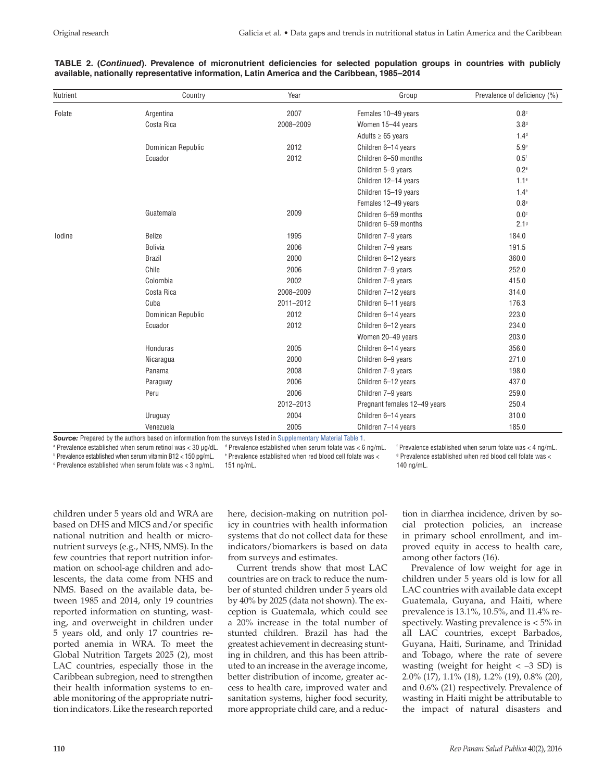#### **TABLE 2. (***Continued***). Prevalence of micronutrient deficiencies for selected population groups in countries with publicly available, nationally representative information, Latin America and the Caribbean, 1985–2014**

| Nutrient | Country            | Year      | Group                        | Prevalence of deficiency (%) |
|----------|--------------------|-----------|------------------------------|------------------------------|
| Folate   | Argentina          | 2007      | Females 10-49 years          | 0.8 <sup>c</sup>             |
|          | Costa Rica         | 2008-2009 | Women 15-44 years            | 3.8 <sup>d</sup>             |
|          |                    |           | Adults $\geq 65$ years       | 1.4 <sup>d</sup>             |
|          | Dominican Republic | 2012      | Children 6-14 years          | 5.9e                         |
|          | Ecuador            | 2012      | Children 6-50 months         | 0.5 <sup>f</sup>             |
|          |                    |           | Children 5-9 years           | 0.2 <sup>e</sup>             |
|          |                    |           | Children 12-14 years         | 1.1 <sup>e</sup>             |
|          |                    |           | Children 15-19 years         | $1.4^\mathrm{e}$             |
|          |                    |           | Females 12-49 years          | 0.8 <sup>e</sup>             |
|          | Guatemala          | 2009      | Children 6-59 months         | 0.0 <sup>c</sup>             |
|          |                    |           | Children 6-59 months         | 2.19                         |
| lodine   | Belize             | 1995      | Children 7-9 years           | 184.0                        |
|          | <b>Bolivia</b>     | 2006      | Children 7-9 years           | 191.5                        |
|          | <b>Brazil</b>      | 2000      | Children 6-12 years          | 360.0                        |
|          | Chile              | 2006      | Children 7-9 years           | 252.0                        |
|          | Colombia           | 2002      | Children 7-9 years           | 415.0                        |
|          | Costa Rica         | 2008-2009 | Children 7-12 years          | 314.0                        |
|          | Cuba               | 2011-2012 | Children 6-11 years          | 176.3                        |
|          | Dominican Republic | 2012      | Children 6-14 years          | 223.0                        |
|          | Ecuador            | 2012      | Children 6-12 years          | 234.0                        |
|          |                    |           | Women 20-49 years            | 203.0                        |
|          | Honduras           | 2005      | Children 6-14 years          | 356.0                        |
|          | Nicaragua          | 2000      | Children 6-9 years           | 271.0                        |
|          | Panama             | 2008      | Children 7-9 years           | 198.0                        |
|          | Paraguay           | 2006      | Children 6-12 years          | 437.0                        |
|          | Peru               | 2006      | Children 7-9 years           | 259.0                        |
|          |                    | 2012-2013 | Pregnant females 12-49 years | 250.4                        |
|          | Uruguay            | 2004      | Children 6-14 years          | 310.0                        |
|          | Venezuela          | 2005      | Children 7-14 years          | 185.0                        |

**Source:** Prepared by the authors based on information from the surveys listed in [Supplementary Material Table 1](http://www.paho.org/journal/index.php?option=com_docman&view=download&alias=976-2016-aug-supplementary-file&category_slug=2016-aug-supplementary-file&Itemid=847).

<sup>a</sup> Prevalence established when serum retinol was < 30 μg/dL.  $\,$  <sup>d</sup> Prevalence established when serum folate was < 6 ng/mL. b Prevalence established when serum vitamin B12 < 150 pg/mL. e Prevalence established when red blood cell folate was < c Prevalence established when serum folate was < 3 ng/mL. 151 ng/mL.

f Prevalence established when serum folate was < 4 ng/mL. g Prevalence established when red blood cell folate was < 140 ng/mL.

children under 5 years old and WRA are based on DHS and MICS and/or specific national nutrition and health or micronutrient surveys (e.g., NHS, NMS). In the few countries that report nutrition information on school-age children and adolescents, the data come from NHS and NMS. Based on the available data, between 1985 and 2014, only 19 countries reported information on stunting, wasting, and overweight in children under 5 years old, and only 17 countries reported anemia in WRA. To meet the Global Nutrition Targets 2025 (2), most LAC countries, especially those in the Caribbean subregion, need to strengthen their health information systems to enable monitoring of the appropriate nutrition indicators. Like the research reported

here, decision-making on nutrition policy in countries with health information systems that do not collect data for these indicators/biomarkers is based on data from surveys and estimates.

Current trends show that most LAC countries are on track to reduce the number of stunted children under 5 years old by 40% by 2025 (data not shown). The exception is Guatemala, which could see a 20% increase in the total number of stunted children. Brazil has had the greatest achievement in decreasing stunting in children, and this has been attributed to an increase in the average income, better distribution of income, greater access to health care, improved water and sanitation systems, higher food security, more appropriate child care, and a reduction in diarrhea incidence, driven by social protection policies, an increase in primary school enrollment, and improved equity in access to health care, among other factors (16).

Prevalence of low weight for age in children under 5 years old is low for all LAC countries with available data except Guatemala, Guyana, and Haiti, where prevalence is 13.1%, 10.5%, and 11.4% respectively. Wasting prevalence is < 5% in all LAC countries, except Barbados, Guyana, Haiti, Suriname, and Trinidad and Tobago, where the rate of severe wasting (weight for height  $< -3$  SD) is 2.0% (17), 1.1% (18), 1.2% (19), 0.8% (20), and 0.6% (21) respectively. Prevalence of wasting in Haiti might be attributable to the impact of natural disasters and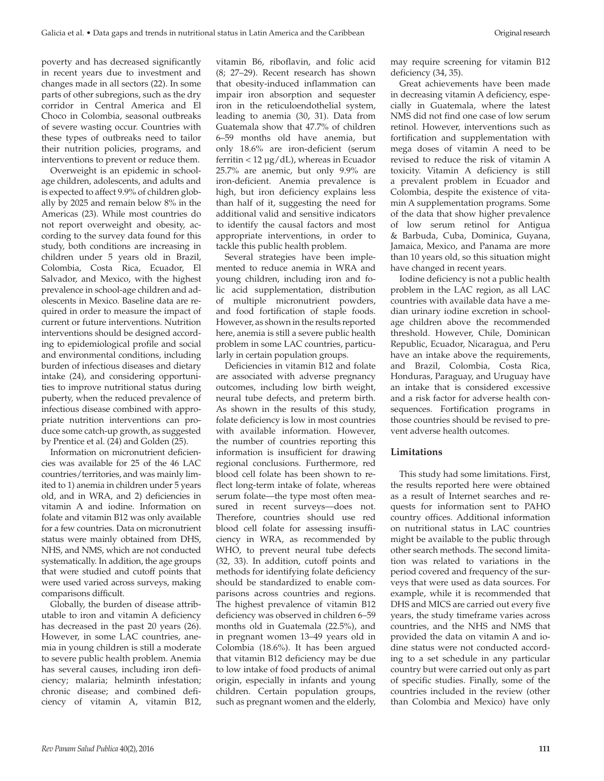poverty and has decreased significantly in recent years due to investment and changes made in all sectors (22). In some parts of other subregions, such as the dry corridor in Central America and El Choco in Colombia, seasonal outbreaks of severe wasting occur. Countries with these types of outbreaks need to tailor their nutrition policies, programs, and interventions to prevent or reduce them.

Overweight is an epidemic in schoolage children, adolescents, and adults and is expected to affect 9.9% of children globally by 2025 and remain below 8% in the Americas (23). While most countries do not report overweight and obesity, according to the survey data found for this study, both conditions are increasing in children under 5 years old in Brazil, Colombia, Costa Rica, Ecuador, El Salvador, and Mexico, with the highest prevalence in school-age children and adolescents in Mexico. Baseline data are required in order to measure the impact of current or future interventions. Nutrition interventions should be designed according to epidemiological profile and social and environmental conditions, including burden of infectious diseases and dietary intake (24), and considering opportunities to improve nutritional status during puberty, when the reduced prevalence of infectious disease combined with appropriate nutrition interventions can produce some catch-up growth, as suggested by Prentice et al. (24) and Golden (25).

Information on micronutrient deficiencies was available for 25 of the 46 LAC countries/territories, and was mainly limited to 1) anemia in children under 5 years old, and in WRA, and 2) deficiencies in vitamin A and iodine. Information on folate and vitamin B12 was only available for a few countries. Data on micronutrient status were mainly obtained from DHS, NHS, and NMS, which are not conducted systematically. In addition, the age groups that were studied and cutoff points that were used varied across surveys, making comparisons difficult.

Globally, the burden of disease attributable to iron and vitamin A deficiency has decreased in the past 20 years (26). However, in some LAC countries, anemia in young children is still a moderate to severe public health problem. Anemia has several causes, including iron deficiency; malaria; helminth infestation; chronic disease; and combined deficiency of vitamin A, vitamin B12,

vitamin B6, riboflavin, and folic acid (8; 27–29). Recent research has shown that obesity-induced inflammation can impair iron absorption and sequester iron in the reticuloendothelial system, leading to anemia (30, 31). Data from Guatemala show that 47.7% of children 6–59 months old have anemia, but only 18.6% are iron-deficient (serum ferritin < 12 μg/dL), whereas in Ecuador 25.7% are anemic, but only 9.9% are iron-deficient. Anemia prevalence is high, but iron deficiency explains less than half of it, suggesting the need for additional valid and sensitive indicators to identify the causal factors and most appropriate interventions, in order to tackle this public health problem.

Several strategies have been implemented to reduce anemia in WRA and young children, including iron and folic acid supplementation, distribution of multiple micronutrient powders, and food fortification of staple foods. However, as shown in the results reported here, anemia is still a severe public health problem in some LAC countries, particularly in certain population groups.

Deficiencies in vitamin B12 and folate are associated with adverse pregnancy outcomes, including low birth weight, neural tube defects, and preterm birth. As shown in the results of this study, folate deficiency is low in most countries with available information. However, the number of countries reporting this information is insufficient for drawing regional conclusions. Furthermore, red blood cell folate has been shown to reflect long-term intake of folate, whereas serum folate—the type most often measured in recent surveys—does not. Therefore, countries should use red blood cell folate for assessing insufficiency in WRA, as recommended by WHO, to prevent neural tube defects (32, 33). In addition, cutoff points and methods for identifying folate deficiency should be standardized to enable comparisons across countries and regions. The highest prevalence of vitamin B12 deficiency was observed in children 6–59 months old in Guatemala (22.5%), and in pregnant women 13–49 years old in Colombia (18.6%). It has been argued that vitamin B12 deficiency may be due to low intake of food products of animal origin, especially in infants and young children. Certain population groups, such as pregnant women and the elderly,

may require screening for vitamin B12 deficiency (34, 35).

Great achievements have been made in decreasing vitamin A deficiency, especially in Guatemala, where the latest NMS did not find one case of low serum retinol. However, interventions such as fortification and supplementation with mega doses of vitamin A need to be revised to reduce the risk of vitamin A toxicity. Vitamin A deficiency is still a prevalent problem in Ecuador and Colombia, despite the existence of vitamin A supplementation programs. Some of the data that show higher prevalence of low serum retinol for Antigua & Barbuda, Cuba, Dominica, Guyana, Jamaica, Mexico, and Panama are more than 10 years old, so this situation might have changed in recent years.

Iodine deficiency is not a public health problem in the LAC region, as all LAC countries with available data have a median urinary iodine excretion in schoolage children above the recommended threshold. However, Chile, Dominican Republic, Ecuador, Nicaragua, and Peru have an intake above the requirements, and Brazil, Colombia, Costa Rica, Honduras, Paraguay, and Uruguay have an intake that is considered excessive and a risk factor for adverse health consequences. Fortification programs in those countries should be revised to prevent adverse health outcomes.

#### **Limitations**

This study had some limitations. First, the results reported here were obtained as a result of Internet searches and requests for information sent to PAHO country offices. Additional information on nutritional status in LAC countries might be available to the public through other search methods. The second limitation was related to variations in the period covered and frequency of the surveys that were used as data sources. For example, while it is recommended that DHS and MICS are carried out every five years, the study timeframe varies across countries, and the NHS and NMS that provided the data on vitamin A and iodine status were not conducted according to a set schedule in any particular country but were carried out only as part of specific studies. Finally, some of the countries included in the review (other than Colombia and Mexico) have only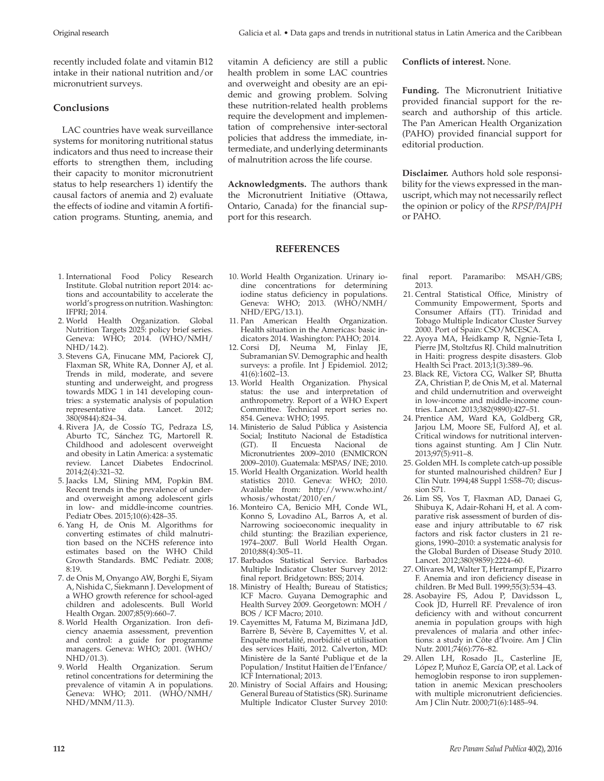recently included folate and vitamin B12 intake in their national nutrition and/or micronutrient surveys.

# **Conclusions**

LAC countries have weak surveillance systems for monitoring nutritional status indicators and thus need to increase their efforts to strengthen them, including their capacity to monitor micronutrient status to help researchers 1) identify the causal factors of anemia and 2) evaluate the effects of iodine and vitamin A fortification programs. Stunting, anemia, and

vitamin A deficiency are still a public health problem in some LAC countries and overweight and obesity are an epidemic and growing problem. Solving these nutrition-related health problems require the development and implementation of comprehensive inter-sectoral policies that address the immediate, intermediate, and underlying determinants of malnutrition across the life course.

**Acknowledgments.** The authors thank the Micronutrient Initiative (Ottawa, Ontario, Canada) for the financial support for this research.

## **REFERENCES**

- 1. International Food Policy Research Institute. Global nutrition report 2014: actions and accountability to accelerate the world's progress on nutrition. Washington: IFPRI; 2014.
- 2. World Health Organization. Global Nutrition Targets 2025: policy brief series. Geneva: WHO; 2014. (WHO/NMH/ NHD/14.2).
- 3. Stevens GA, Finucane MM, Paciorek CJ, Flaxman SR, White RA, Donner AJ, et al. Trends in mild, moderate, and severe stunting and underweight, and progress towards MDG 1 in 141 developing countries: a systematic analysis of population representative data. Lancet. 2012; 380(9844):824–34.
- 4. Rivera JA, de Cossío TG, Pedraza LS, Aburto TC, Sánchez TG, Martorell R. Childhood and adolescent overweight and obesity in Latin America: a systematic review. Lancet Diabetes Endocrinol. 2014;2(4):321–32.
- 5. Jaacks LM, Slining MM, Popkin BM. Recent trends in the prevalence of underand overweight among adolescent girls in low- and middle-income countries. Pediatr Obes. 2015;10(6):428–35.
- 6. Yang H, de Onis M. Algorithms for converting estimates of child malnutrition based on the NCHS reference into estimates based on the WHO Child Growth Standards. BMC Pediatr. 2008; 8:19.
- 7. de Onis M, Onyango AW, Borghi E, Siyam A, Nishida C, Siekmann J. Development of a WHO growth reference for school-aged children and adolescents. Bull World Health Organ. 2007;85(9):660–7.
- 8. World Health Organization. Iron deficiency anaemia assessment, prevention and control: a guide for programme managers. Geneva: WHO; 2001. (WHO/  $NHD/01.3$ ).
- 9. World Health Organization. Serum retinol concentrations for determining the prevalence of vitamin A in populations. Geneva: WHO; 2011. (WHO/NMH/ NHD/MNM/11.3).
- 10. World Health Organization. Urinary iodine concentrations for determining iodine status deficiency in populations. Geneva: WHO; 2013. (WHO/NMH/ NHD/EPG/13.1).
- 11. Pan American Health Organization. Health situation in the Americas: basic indicators 2014. Washington: PAHO; 2014.
- 12. Corsi DJ, Neuma M, Finlay JE, Subramanian SV. Demographic and health surveys: a profile. Int  $\breve{\rm J}$  Epidemiol. 2012; 41(6):1602–13.
- 13. World Health Organization. Physical status: the use and interpretation of anthropometry. Report of a WHO Expert Committee. Technical report series no. 854. Geneva: WHO; 1995.
- 14. Ministerio de Salud Pública y Asistencia Social; Instituto Nacional de Estadística<br>(GT). II Encuesta Nacional de (GT). II Encuesta Nacional de Micronutrientes 2009–2010 (ENMICRON 2009–2010). Guatemala: MSPAS/ INE; 2010.
- 15. World Health Organization. World health statistics 2010. Geneva: WHO; 2010. Available from: http://www.who.int/ whosis/whostat/2010/en/
- 16. Monteiro CA, Benicio MH, Conde WL, Konno S, Lovadino AL, Barros A, et al. Narrowing socioeconomic inequality in child stunting: the Brazilian experience, 1974–2007. Bull World Health Organ. 2010;88(4):305–11.
- 17. Barbados Statistical Service. Barbados Multiple Indicator Cluster Survey 2012: final report. Bridgetown: BSS; 2014.
- 18. Ministry of Health; Bureau of Statistics; ICF Macro. Guyana Demographic and Health Survey 2009. Georgetown: MOH / BOS / ICF Macro; 2010.
- 19. Cayemittes M, Fatuma M, Bizimana JdD, Barrère B, Sévère B, Cayemittes V, et al. Enquête mortalité, morbidité et utilisation des services Haïti, 2012. Calverton, MD: Ministère de la Santé Publique et de la Population/ Institut Haïtien de l'Enfance/ ICF International; 2013.
- 20. Ministry of Social Affairs and Housing; General Bureau of Statistics (SR). Suriname Multiple Indicator Cluster Survey 2010:

**Conflicts of interest.** None.

**Funding.** The Micronutrient Initiative provided financial support for the research and authorship of this article. The Pan American Health Organization (PAHO) provided financial support for editorial production.

**Disclaimer.** Authors hold sole responsibility for the views expressed in the manuscript, which may not necessarily reflect the opinion or policy of the *RPSP/PAJPH* or PAHO.

final report. Paramaribo: MSAH/GBS; 2013.

- 21. Central Statistical Office, Ministry of Community Empowerment, Sports and Consumer Affairs (TT). Trinidad and Tobago Multiple Indicator Cluster Survey 2000. Port of Spain: CSO/MCESCA.
- 22. Ayoya MA, Heidkamp R, Ngnie-Teta I, Pierre JM, Stoltzfus RJ. Child malnutrition in Haiti: progress despite disasters. Glob Health Sci Pract. 2013;1(3):389–96.
- 23. Black RE, Victora CG, Walker SP, Bhutta ZA, Christian P, de Onis M, et al. Maternal and child undernutrition and overweight in low-income and middle-income countries. Lancet. 2013;382(9890):427–51.
- 24. Prentice AM, Ward KA, Goldberg GR, Jarjou LM, Moore SE, Fulford AJ, et al. Critical windows for nutritional interventions against stunting. Am J Clin Nutr. 2013;97(5):911–8.
- 25. Golden MH. Is complete catch-up possible for stunted malnourished children? Eur J Clin Nutr. 1994;48 Suppl 1:S58–70; discussion S71.
- 26. Lim SS, Vos T, Flaxman AD, Danaei G, Shibuya K, Adair-Rohani H, et al. A comparative risk assessment of burden of disease and injury attributable to 67 risk factors and risk factor clusters in 21 regions, 1990–2010: a systematic analysis for the Global Burden of Disease Study 2010. Lancet. 2012;380(9859):2224–60.
- 27. Olivares M, Walter T, Hertrampf E, Pizarro F. Anemia and iron deficiency disease in children. Br Med Bull. 1999;55(3):534–43.
- 28. Asobayire FS, Adou P, Davidsson L, Cook JD, Hurrell RF. Prevalence of iron deficiency with and without concurrent anemia in population groups with high prevalences of malaria and other infections: a study in Côte d'Ivoire. Am J Clin Nutr. 2001;74(6):776–82.
- 29. Allen LH, Rosado JL, Casterline JE, López P, Muñoz E, García OP, et al. Lack of hemoglobin response to iron supplementation in anemic Mexican preschoolers with multiple micronutrient deficiencies. Am J Clin Nutr. 2000;71(6):1485–94.